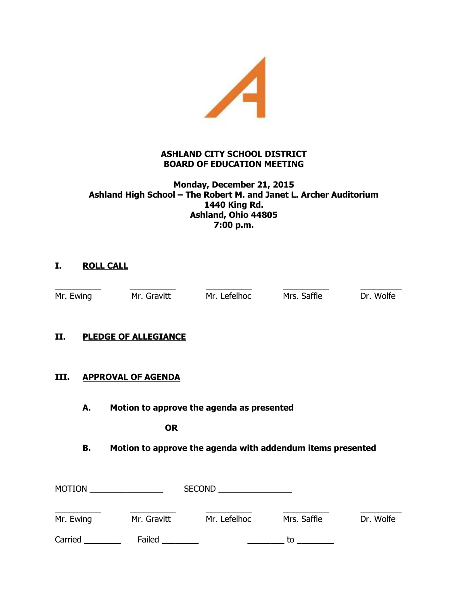

## **ASHLAND CITY SCHOOL DISTRICT BOARD OF EDUCATION MEETING**

#### **Monday, December 21, 2015 Ashland High School – The Robert M. and Janet L. Archer Auditorium 1440 King Rd. Ashland, Ohio 44805 7:00 p.m.**

# **I. ROLL CALL**

\_\_\_\_\_\_\_\_\_\_ \_\_\_\_\_\_\_\_\_\_ \_\_\_\_\_\_\_\_\_\_ \_\_\_\_\_\_\_\_\_\_ \_\_\_\_\_\_\_\_\_ Mr. Ewing Mr. Gravitt Mr. Lefelhoc Mrs. Saffle Dr. Wolfe

## **II. PLEDGE OF ALLEGIANCE**

#### **III. APPROVAL OF AGENDA**

**A. Motion to approve the agenda as presented**

**OR**

## **B. Motion to approve the agenda with addendum items presented**

| <b>MOTION</b> |             | <b>SECOND</b> |             |           |
|---------------|-------------|---------------|-------------|-----------|
| Mr. Ewing     | Mr. Gravitt | Mr. Lefelhoc  | Mrs. Saffle | Dr. Wolfe |
| Carried       | Failed      |               | t٥          |           |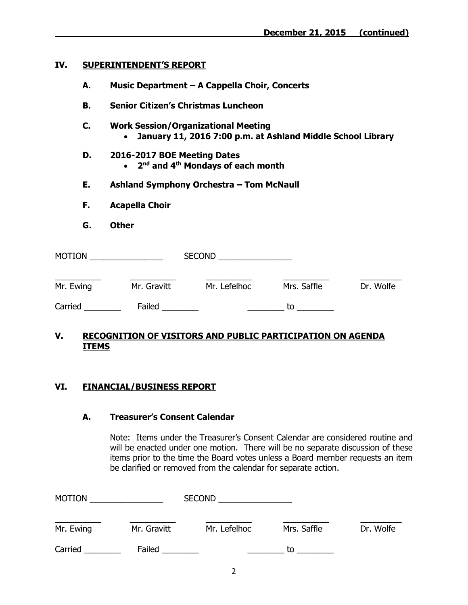#### **IV. SUPERINTENDENT'S REPORT**

- **A. Music Department – A Cappella Choir, Concerts**
- **B. Senior Citizen's Christmas Luncheon**
- **C. Work Session/Organizational Meeting January 11, 2016 7:00 p.m. at Ashland Middle School Library**

# **D. 2016-2017 BOE Meeting Dates**

- **2 nd and 4th Mondays of each month**
- **E. Ashland Symphony Orchestra – Tom McNaull**
- **F. Acapella Choir**
- **G. Other**

| <b>MOTION</b> |             | <b>SECOND</b> |             |           |
|---------------|-------------|---------------|-------------|-----------|
| Mr. Ewing     | Mr. Gravitt | Mr. Lefelhoc  | Mrs. Saffle | Dr. Wolfe |
| Carried       | Failed      |               | tο          |           |

## **V. RECOGNITION OF VISITORS AND PUBLIC PARTICIPATION ON AGENDA ITEMS**

## **VI. FINANCIAL/BUSINESS REPORT**

#### **A. Treasurer's Consent Calendar**

Note: Items under the Treasurer's Consent Calendar are considered routine and will be enacted under one motion. There will be no separate discussion of these items prior to the time the Board votes unless a Board member requests an item be clarified or removed from the calendar for separate action.

| <b>MOTION</b> |             | <b>SECOND</b> |             |           |
|---------------|-------------|---------------|-------------|-----------|
| Mr. Ewing     | Mr. Gravitt | Mr. Lefelhoc  | Mrs. Saffle | Dr. Wolfe |
| Carried       | Failed      |               | tο          |           |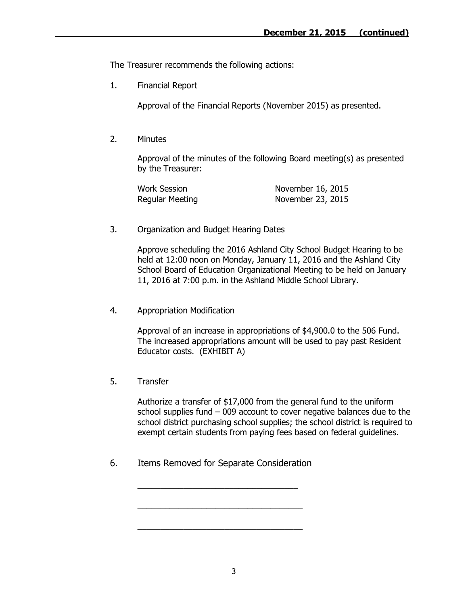The Treasurer recommends the following actions:

1. Financial Report

Approval of the Financial Reports (November 2015) as presented.

2. Minutes

Approval of the minutes of the following Board meeting(s) as presented by the Treasurer:

| <b>Work Session</b>    | November 16, 2015 |
|------------------------|-------------------|
| <b>Regular Meeting</b> | November 23, 2015 |

3. Organization and Budget Hearing Dates

Approve scheduling the 2016 Ashland City School Budget Hearing to be held at 12:00 noon on Monday, January 11, 2016 and the Ashland City School Board of Education Organizational Meeting to be held on January 11, 2016 at 7:00 p.m. in the Ashland Middle School Library.

4. Appropriation Modification

Approval of an increase in appropriations of \$4,900.0 to the 506 Fund. The increased appropriations amount will be used to pay past Resident Educator costs. (EXHIBIT A)

5. Transfer

Authorize a transfer of \$17,000 from the general fund to the uniform school supplies fund – 009 account to cover negative balances due to the school district purchasing school supplies; the school district is required to exempt certain students from paying fees based on federal guidelines.

6. Items Removed for Separate Consideration

\_\_\_\_\_\_\_\_\_\_\_\_\_\_\_\_\_\_\_\_\_\_\_\_\_\_\_\_\_\_\_\_\_\_\_

\_\_\_\_\_\_\_\_\_\_\_\_\_\_\_\_\_\_\_\_\_\_\_\_\_\_\_\_\_\_\_\_\_\_\_\_

\_\_\_\_\_\_\_\_\_\_\_\_\_\_\_\_\_\_\_\_\_\_\_\_\_\_\_\_\_\_\_\_\_\_\_\_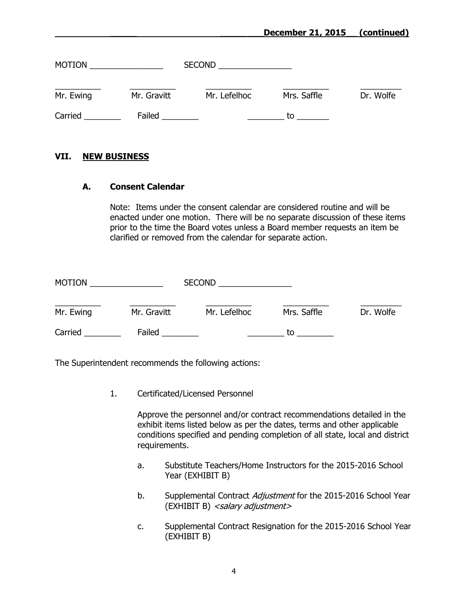#### **\_\_\_\_\_ \_\_\_\_\_\_\_\_December 21, 2015\_\_ (continued)**

| <b>MOTION</b> |             | <b>SECOND</b> |             |           |
|---------------|-------------|---------------|-------------|-----------|
| Mr. Ewing     | Mr. Gravitt | Mr. Lefelhoc  | Mrs. Saffle | Dr. Wolfe |
| Carried       | Failed      |               | to          |           |

#### **VII. NEW BUSINESS**

#### **A. Consent Calendar**

Note: Items under the consent calendar are considered routine and will be enacted under one motion. There will be no separate discussion of these items prior to the time the Board votes unless a Board member requests an item be clarified or removed from the calendar for separate action.

| <b>MOTION</b> |             | <b>SECOND</b> |             |           |
|---------------|-------------|---------------|-------------|-----------|
| Mr. Ewing     | Mr. Gravitt | Mr. Lefelhoc  | Mrs. Saffle | Dr. Wolfe |
| Carried       | Failed      |               | to          |           |

The Superintendent recommends the following actions:

1. Certificated/Licensed Personnel

Approve the personnel and/or contract recommendations detailed in the exhibit items listed below as per the dates, terms and other applicable conditions specified and pending completion of all state, local and district requirements.

- a. Substitute Teachers/Home Instructors for the 2015-2016 School Year (EXHIBIT B)
- b. Supplemental Contract Adjustment for the 2015-2016 School Year (EXHIBIT B) <salary adjustment>
- c. Supplemental Contract Resignation for the 2015-2016 School Year (EXHIBIT B)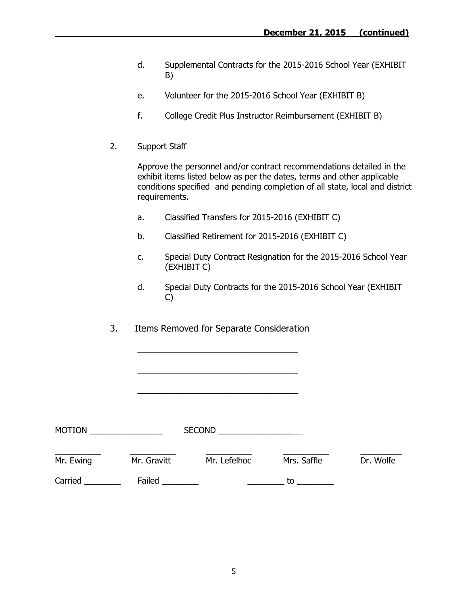- d. Supplemental Contracts for the 2015-2016 School Year (EXHIBIT B)
- e. Volunteer for the 2015-2016 School Year (EXHIBIT B)
- f. College Credit Plus Instructor Reimbursement (EXHIBIT B)
- 2. Support Staff

Approve the personnel and/or contract recommendations detailed in the exhibit items listed below as per the dates, terms and other applicable conditions specified and pending completion of all state, local and district requirements.

- a. Classified Transfers for 2015-2016 (EXHIBIT C)
- b. Classified Retirement for 2015-2016 (EXHIBIT C)
- c. Special Duty Contract Resignation for the 2015-2016 School Year (EXHIBIT C)
- d. Special Duty Contracts for the 2015-2016 School Year (EXHIBIT C)
- 3. Items Removed for Separate Consideration

\_\_\_\_\_\_\_\_\_\_\_\_\_\_\_\_\_\_\_\_\_\_\_\_\_\_\_\_\_\_\_\_\_\_\_

\_\_\_\_\_\_\_\_\_\_\_\_\_\_\_\_\_\_\_\_\_\_\_\_\_\_\_\_\_\_\_\_\_\_\_

\_\_\_\_\_\_\_\_\_\_\_\_\_\_\_\_\_\_\_\_\_\_\_\_\_\_\_\_\_\_\_\_\_\_\_

| <b>MOTION</b> |             | <b>SECOND</b> |             |           |
|---------------|-------------|---------------|-------------|-----------|
| Mr. Ewing     | Mr. Gravitt | Mr. Lefelhoc  | Mrs. Saffle | Dr. Wolfe |
| Carried       | Failed      |               | to          |           |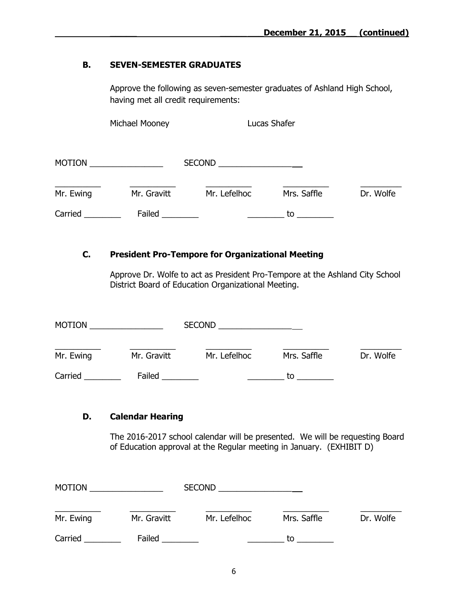#### **B. SEVEN-SEMESTER GRADUATES**

Approve the following as seven-semester graduates of Ashland High School, having met all credit requirements:

Michael Mooney **Lucas Shafer** 

| <b>MOTION</b> |             | <b>SECOND</b> |             |           |
|---------------|-------------|---------------|-------------|-----------|
| Mr. Ewing     | Mr. Gravitt | Mr. Lefelhoc  | Mrs. Saffle | Dr. Wolfe |
| Carried       | Failed      |               | to          |           |

## **C. President Pro-Tempore for Organizational Meeting**

Approve Dr. Wolfe to act as President Pro-Tempore at the Ashland City School District Board of Education Organizational Meeting.

| <b>MOTION</b> |             | <b>SECOND</b> |             |           |
|---------------|-------------|---------------|-------------|-----------|
| Mr. Ewing     | Mr. Gravitt | Mr. Lefelhoc  | Mrs. Saffle | Dr. Wolfe |
| Carried       | Failed      |               | tο          |           |

## **D. Calendar Hearing**

The 2016-2017 school calendar will be presented. We will be requesting Board of Education approval at the Regular meeting in January. (EXHIBIT D)

| <b>MOTION</b> |             | <b>SECOND</b> |             |           |
|---------------|-------------|---------------|-------------|-----------|
| Mr. Ewing     | Mr. Gravitt | Mr. Lefelhoc  | Mrs. Saffle | Dr. Wolfe |
| Carried       | Failed      |               | tο          |           |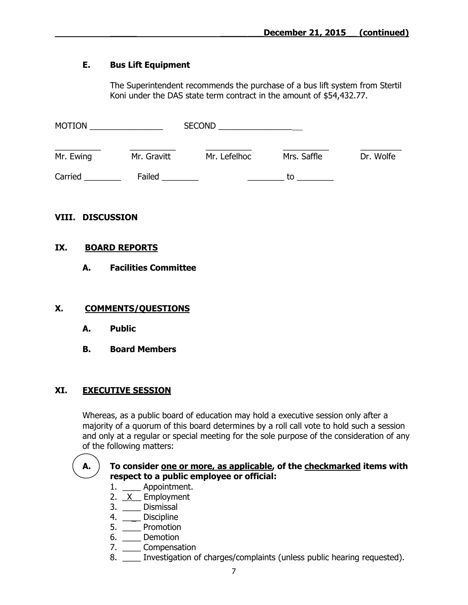## **E. Bus Lift Equipment**

The Superintendent recommends the purchase of a bus lift system from Stertil Koni under the DAS state term contract in the amount of \$54,432.77.

| <b>MOTION</b> |             | <b>SECOND</b> |             |           |
|---------------|-------------|---------------|-------------|-----------|
| Mr. Ewing     | Mr. Gravitt | Mr. Lefelhoc  | Mrs. Saffle | Dr. Wolfe |
| Carried       | Failed      |               | t٥          |           |

# **VIII. DISCUSSION**

## **IX. BOARD REPORTS**

## **A. Facilities Committee**

## **X. COMMENTS/QUESTIONS**

- **A. Public**
- **B. Board Members**

## **XI. EXECUTIVE SESSION**

Whereas, as a public board of education may hold a executive session only after a majority of a quorum of this board determines by a roll call vote to hold such a session and only at a regular or special meeting for the sole purpose of the consideration of any of the following matters:

#### **A. To consider one or more, as applicable, of the checkmarked items with respect to a public employee or official:**

- 1. \_\_\_\_ Appointment.
- 2.  $X$  Employment
- 3. \_\_\_\_ Dismissal
- 4. \_\_\_\_ Discipline
- 5. \_\_\_\_ Promotion
- 6. \_\_\_\_ Demotion
- 7. \_\_\_\_ Compensation
- 8. \_\_\_\_ Investigation of charges/complaints (unless public hearing requested).